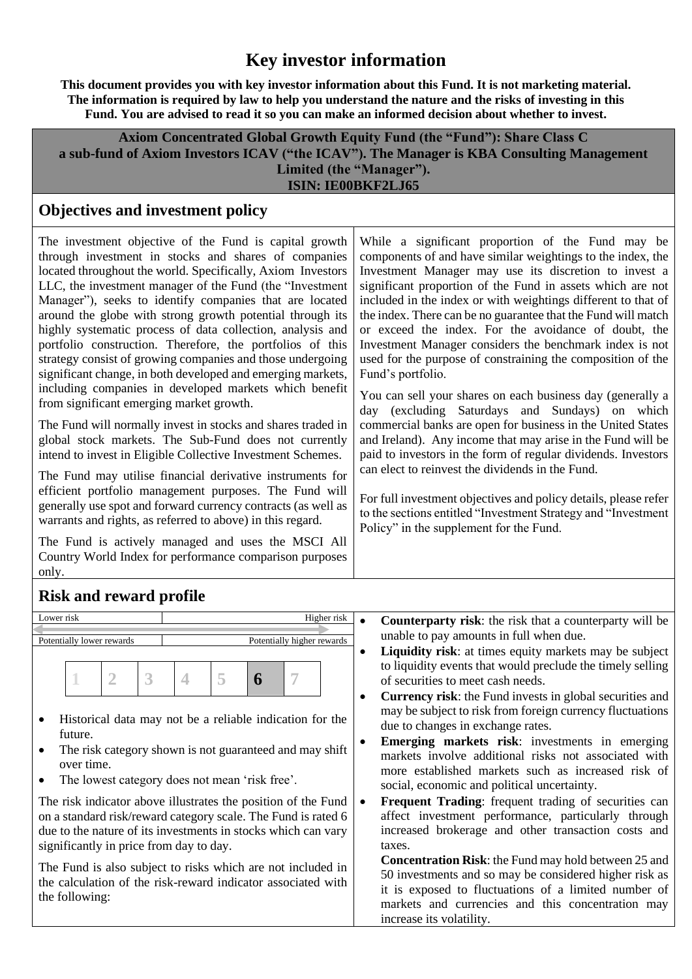# **Key investor information**

**This document provides you with key investor information about this Fund. It is not marketing material. The information is required by law to help you understand the nature and the risks of investing in this Fund. You are advised to read it so you can make an informed decision about whether to invest.**

**Axiom Concentrated Global Growth Equity Fund (the "Fund"): Share Class C a sub-fund of Axiom Investors ICAV ("the ICAV"). The Manager is KBA Consulting Management Limited (the "Manager"). ISIN: IE00BKF2LJ65**

### **Objectives and investment policy**

The investment objective of the Fund is capital growth through investment in stocks and shares of companies located throughout the world. Specifically, Axiom Investors LLC, the investment manager of the Fund (the "Investment Manager"), seeks to identify companies that are located around the globe with strong growth potential through its highly systematic process of data collection, analysis and portfolio construction. Therefore, the portfolios of this strategy consist of growing companies and those undergoing significant change, in both developed and emerging markets, including companies in developed markets which benefit from significant emerging market growth.

The Fund will normally invest in stocks and shares traded in global stock markets. The Sub-Fund does not currently intend to invest in Eligible Collective Investment Schemes.

The Fund may utilise financial derivative instruments for efficient portfolio management purposes. The Fund will generally use spot and forward currency contracts (as well as warrants and rights, as referred to above) in this regard.

The Fund is actively managed and uses the MSCI All Country World Index for performance comparison purposes only.

While a significant proportion of the Fund may be components of and have similar weightings to the index, the Investment Manager may use its discretion to invest a significant proportion of the Fund in assets which are not included in the index or with weightings different to that of the index. There can be no guarantee that the Fund will match or exceed the index. For the avoidance of doubt, the Investment Manager considers the benchmark index is not used for the purpose of constraining the composition of the Fund's portfolio.

You can sell your shares on each business day (generally a day (excluding Saturdays and Sundays) on which commercial banks are open for business in the United States and Ireland). Any income that may arise in the Fund will be paid to investors in the form of regular dividends. Investors can elect to reinvest the dividends in the Fund.

For full investment objectives and policy details, please refer to the sections entitled "Investment Strategy and "Investment Policy" in the supplement for the Fund.

## **Risk and reward profile**



on a standard risk/reward category scale. The Fund is rated 6 due to the nature of its investments in stocks which can vary significantly in price from day to day.

The Fund is also subject to risks which are not included in the calculation of the risk-reward indicator associated with the following:

- unable to pay amounts in full when due.
- **Liquidity risk**: at times equity markets may be subject to liquidity events that would preclude the timely selling of securities to meet cash needs.
- **Currency risk**: the Fund invests in global securities and may be subject to risk from foreign currency fluctuations due to changes in exchange rates.
- **Emerging markets risk:** investments in emerging markets involve additional risks not associated with more established markets such as increased risk of social, economic and political uncertainty.
- **Frequent Trading:** frequent trading of securities can affect investment performance, particularly through increased brokerage and other transaction costs and taxes.

**Concentration Risk**: the Fund may hold between 25 and 50 investments and so may be considered higher risk as it is exposed to fluctuations of a limited number of markets and currencies and this concentration may increase its volatility.